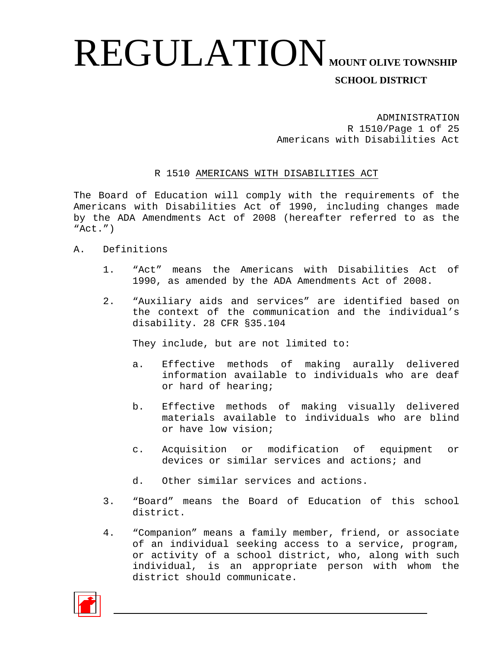ADMINISTRATION R 1510/Page 1 of 25 Americans with Disabilities Act

#### R 1510 AMERICANS WITH DISABILITIES ACT

The Board of Education will comply with the requirements of the Americans with Disabilities Act of 1990, including changes made by the ADA Amendments Act of 2008 (hereafter referred to as the  $"Act."$ )

- A. Definitions
	- 1. "Act" means the Americans with Disabilities Act of 1990, as amended by the ADA Amendments Act of 2008.
	- 2. "Auxiliary aids and services" are identified based on the context of the communication and the individual's disability. 28 CFR §35.104

They include, but are not limited to:

- a. Effective methods of making aurally delivered information available to individuals who are deaf or hard of hearing;
- b. Effective methods of making visually delivered materials available to individuals who are blind or have low vision;
- c. Acquisition or modification of equipment or devices or similar services and actions; and
- d. Other similar services and actions.
- 3. "Board" means the Board of Education of this school district.
- 4. "Companion" means a family member, friend, or associate of an individual seeking access to a service, program, or activity of a school district, who, along with such individual, is an appropriate person with whom the district should communicate.

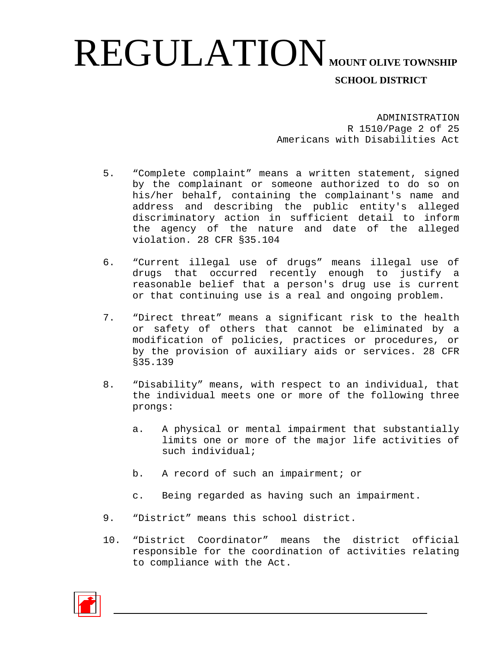ADMINISTRATION R 1510/Page 2 of 25 Americans with Disabilities Act

- 5. "Complete complaint" means a written statement, signed by the complainant or someone authorized to do so on his/her behalf, containing the complainant's name and address and describing the public entity's alleged discriminatory action in sufficient detail to inform the agency of the nature and date of the alleged violation. 28 CFR §35.104
- 6. "Current illegal use of drugs" means illegal use of drugs that occurred recently enough to justify a reasonable belief that a person's drug use is current or that continuing use is a real and ongoing problem.
- 7. "Direct threat" means a significant risk to the health or safety of others that cannot be eliminated by a modification of policies, practices or procedures, or by the provision of auxiliary aids or services. 28 CFR §35.139
- 8. "Disability" means, with respect to an individual, that the individual meets one or more of the following three prongs:
	- a. A physical or mental impairment that substantially limits one or more of the major life activities of such individual;
	- b. A record of such an impairment; or
	- c. Being regarded as having such an impairment.
- 9. "District" means this school district.
- 10. "District Coordinator" means the district official responsible for the coordination of activities relating to compliance with the Act.

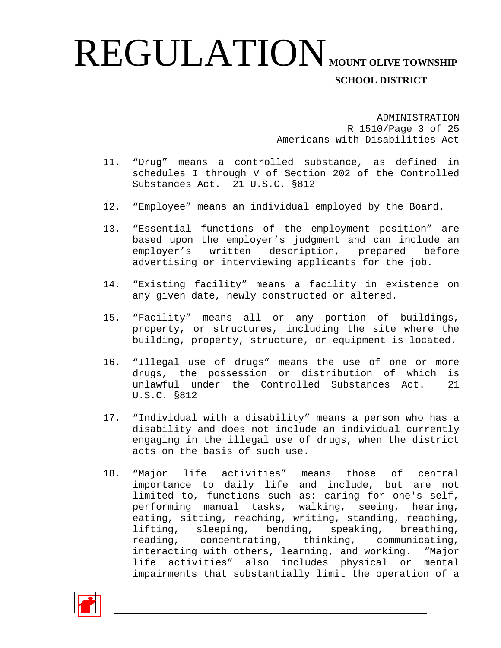ADMINISTRATION R 1510/Page 3 of 25 Americans with Disabilities Act

- 11. "Drug" means a controlled substance, as defined in schedules I through V of Section 202 of the Controlled Substances Act. 21 U.S.C. §812
- 12. "Employee" means an individual employed by the Board.
- 13. "Essential functions of the employment position" are based upon the employer's judgment and can include an employer's written description, prepared before advertising or interviewing applicants for the job.
- 14. "Existing facility" means a facility in existence on any given date, newly constructed or altered.
- 15. "Facility" means all or any portion of buildings, property, or structures, including the site where the building, property, structure, or equipment is located.
- 16. "Illegal use of drugs" means the use of one or more drugs, the possession or distribution of which is unlawful under the Controlled Substances Act. 21 U.S.C. §812
- 17. "Individual with a disability" means a person who has a disability and does not include an individual currently engaging in the illegal use of drugs, when the district acts on the basis of such use.
- 18. "Major life activities" means those of central importance to daily life and include, but are not limited to, functions such as: caring for one's self, performing manual tasks, walking, seeing, hearing, eating, sitting, reaching, writing, standing, reaching, lifting, sleeping, bending, speaking, breathing,<br>reading, concentrating, thinking, communicating, thinking, communicating, interacting with others, learning, and working. "Major life activities" also includes physical or mental impairments that substantially limit the operation of a

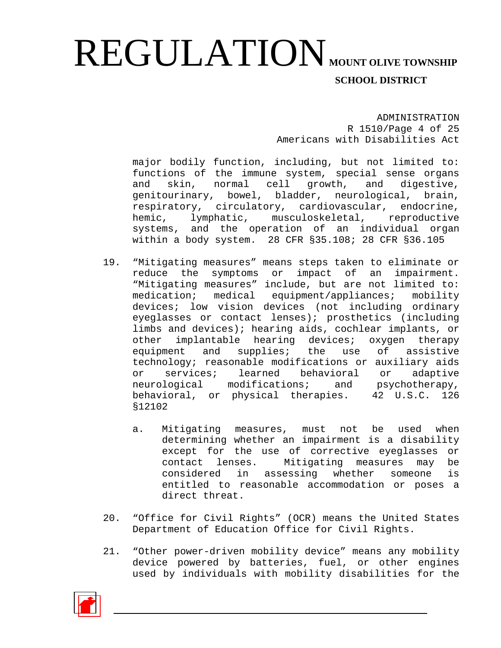ADMINISTRATION R 1510/Page 4 of 25 Americans with Disabilities Act

major bodily function, including, but not limited to: functions of the immune system, special sense organs<br>and skin, normal cell growth, and digestive, and skin, normal cell growth, and genitourinary, bowel, bladder, neurological, brain, respiratory, circulatory, cardiovascular, endocrine,<br>hemic. lymphatic. musculoskeletal. reproductive lymphatic, musculoskeletal, reproductive systems, and the operation of an individual organ within a body system. 28 CFR §35.108; 28 CFR §36.105

- 19. "Mitigating measures" means steps taken to eliminate or reduce the symptoms or impact of an impairment. "Mitigating measures" include, but are not limited to: medication; medical equipment/appliances; mobility devices; low vision devices (not including ordinary eyeglasses or contact lenses); prosthetics (including limbs and devices); hearing aids, cochlear implants, or other implantable hearing devices; oxygen therapy equipment and supplies; the use of assistive technology; reasonable modifications or auxiliary aids<br>or services; learned behavioral or adaptive or services; learned behavioral or adaptive<br>neurological modifications; and psychotherapy, neurological modifications; and psychotherapy, behavioral, or physical therapies. 42 U.S.C. 126 §12102
	- a. Mitigating measures, must not be used when determining whether an impairment is a disability except for the use of corrective eyeglasses or contact lenses. Mitigating measures may be considered in assessing whether someone is entitled to reasonable accommodation or poses a direct threat.
- 20. "Office for Civil Rights" (OCR) means the United States Department of Education Office for Civil Rights.
- 21. "Other power-driven mobility device" means any mobility device powered by batteries, fuel, or other engines used by individuals with mobility disabilities for the

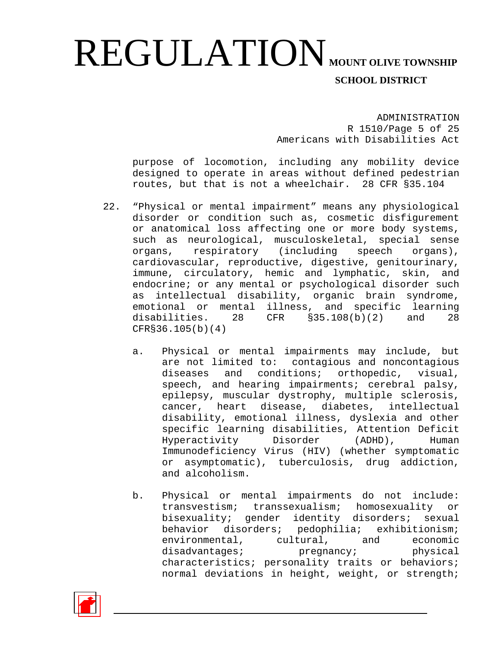ADMINISTRATION R 1510/Page 5 of 25 Americans with Disabilities Act

purpose of locomotion, including any mobility device designed to operate in areas without defined pedestrian routes, but that is not a wheelchair. 28 CFR §35.104

- 22. "Physical or mental impairment" means any physiological disorder or condition such as, cosmetic disfigurement or anatomical loss affecting one or more body systems, such as neurological, musculoskeletal, special sense<br>organs, respiratory (including speech organs), organs, respiratory (including cardiovascular, reproductive, digestive, genitourinary, immune, circulatory, hemic and lymphatic, skin, and endocrine; or any mental or psychological disorder such as intellectual disability, organic brain syndrome, emotional or mental illness, and specific learning<br>disabilities. 28 CFR \$35.108(b)(2) and 28  $CFR$  §35.108(b)(2) and 28 CFR§36.105(b)(4)
	- a. Physical or mental impairments may include, but are not limited to: contagious and noncontagious diseases and conditions; orthopedic, visual, speech, and hearing impairments; cerebral palsy, epilepsy, muscular dystrophy, multiple sclerosis, cancer, heart disease, diabetes, intellectual disability, emotional illness, dyslexia and other specific learning disabilities, Attention Deficit<br>Hyperactivity Disorder (ADHD), Human Hyperactivity Disorder Immunodeficiency Virus (HIV) (whether symptomatic or asymptomatic), tuberculosis, drug addiction, and alcoholism.
	- b. Physical or mental impairments do not include: transvestism; transsexualism; homosexuality or bisexuality; gender identity disorders; sexual behavior disorders; pedophilia; exhibitionism;<br>environmental, cultural, and economic environmental, cultural, disadvantages; pregnancy; physical characteristics; personality traits or behaviors; normal deviations in height, weight, or strength;

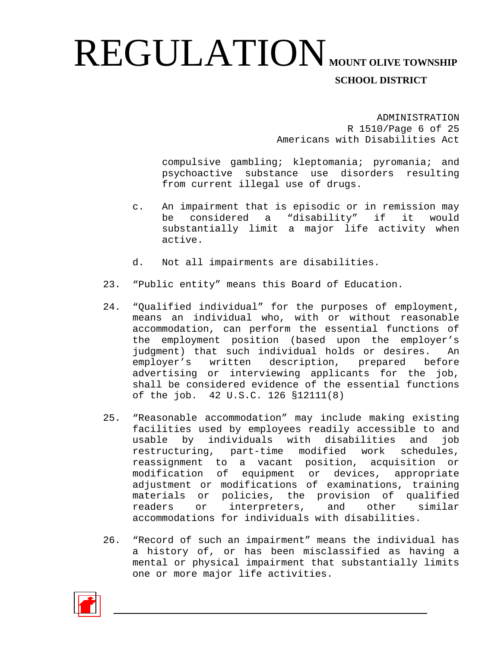ADMINISTRATION R 1510/Page 6 of 25 Americans with Disabilities Act

compulsive gambling; kleptomania; pyromania; and psychoactive substance use disorders resulting from current illegal use of drugs.

- c. An impairment that is episodic or in remission may be considered a "disability" if it would substantially limit a major life activity when active.
- d. Not all impairments are disabilities.
- 23. "Public entity" means this Board of Education.
- 24. "Qualified individual" for the purposes of employment, means an individual who, with or without reasonable accommodation, can perform the essential functions of the employment position (based upon the employer's judgment) that such individual holds or desires. An employer's written description, prepared before advertising or interviewing applicants for the job, shall be considered evidence of the essential functions of the job. 42 U.S.C. 126 §12111(8)
- 25. "Reasonable accommodation" may include making existing facilities used by employees readily accessible to and usable by individuals with disabilities and job restructuring, part-time modified work schedules, reassignment to a vacant position, acquisition or modification of equipment or devices, appropriate adjustment or modifications of examinations, training materials or policies, the provision of qualified readers or interpreters, and other similar accommodations for individuals with disabilities.
- 26. "Record of such an impairment" means the individual has a history of, or has been misclassified as having a mental or physical impairment that substantially limits one or more major life activities.

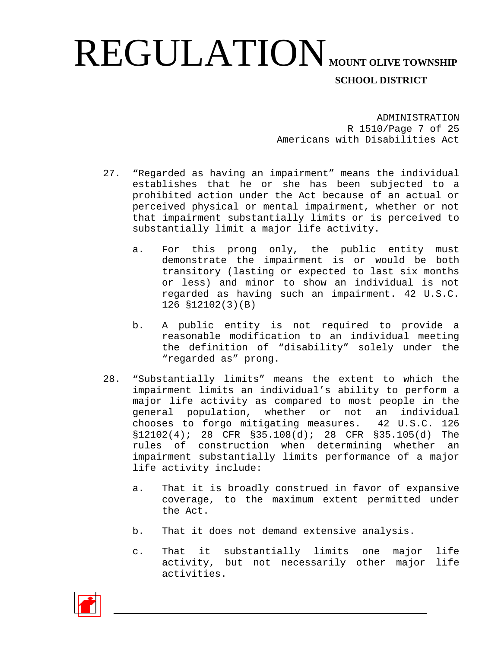ADMINISTRATION R 1510/Page 7 of 25 Americans with Disabilities Act

- 27. "Regarded as having an impairment" means the individual establishes that he or she has been subjected to a prohibited action under the Act because of an actual or perceived physical or mental impairment, whether or not that impairment substantially limits or is perceived to substantially limit a major life activity.
	- a. For this prong only, the public entity must demonstrate the impairment is or would be both transitory (lasting or expected to last six months or less) and minor to show an individual is not regarded as having such an impairment. 42 U.S.C. 126 §12102(3)(B)
	- b. A public entity is not required to provide a reasonable modification to an individual meeting the definition of "disability" solely under the "regarded as" prong.
- 28. "Substantially limits" means the extent to which the impairment limits an individual's ability to perform a major life activity as compared to most people in the general population, whether or not an individual<br>chooses to forgo mitigating measures. 42 U.S.C. 126 chooses to forgo mitigating measures. §12102(4); 28 CFR §35.108(d); 28 CFR §35.105(d) The rules of construction when determining whether an impairment substantially limits performance of a major life activity include:
	- a. That it is broadly construed in favor of expansive coverage, to the maximum extent permitted under the Act.
	- b. That it does not demand extensive analysis.
	- c. That it substantially limits one major life activity, but not necessarily other major life activities.

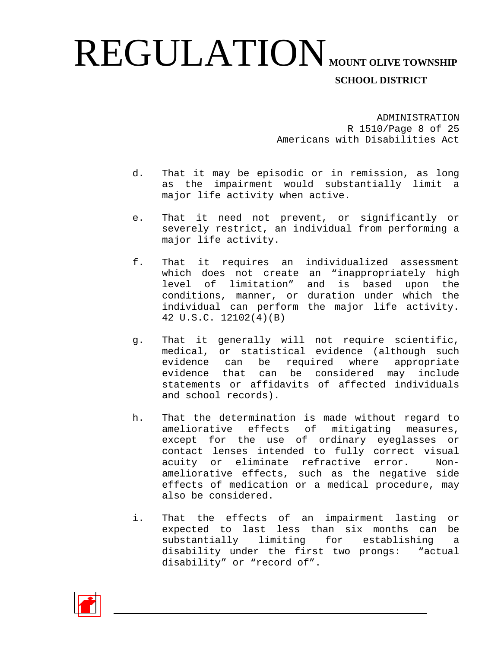ADMINISTRATION R 1510/Page 8 of 25 Americans with Disabilities Act

- d. That it may be episodic or in remission, as long as the impairment would substantially limit a major life activity when active.
- e. That it need not prevent, or significantly or severely restrict, an individual from performing a major life activity.
- f. That it requires an individualized assessment which does not create an "inappropriately high level of limitation" and is based upon the conditions, manner, or duration under which the individual can perform the major life activity. 42 U.S.C. 12102(4)(B)
- g. That it generally will not require scientific, medical, or statistical evidence (although such evidence can be required where appropriate evidence that can be considered may include statements or affidavits of affected individuals and school records).
- h. That the determination is made without regard to ameliorative effects of mitigating measures, except for the use of ordinary eyeglasses or contact lenses intended to fully correct visual acuity or eliminate refractive error. Nonameliorative effects, such as the negative side effects of medication or a medical procedure, may also be considered.
- i. That the effects of an impairment lasting or expected to last less than six months can be substantially limiting for establishing a disability under the first two prongs: "actual disability" or "record of".

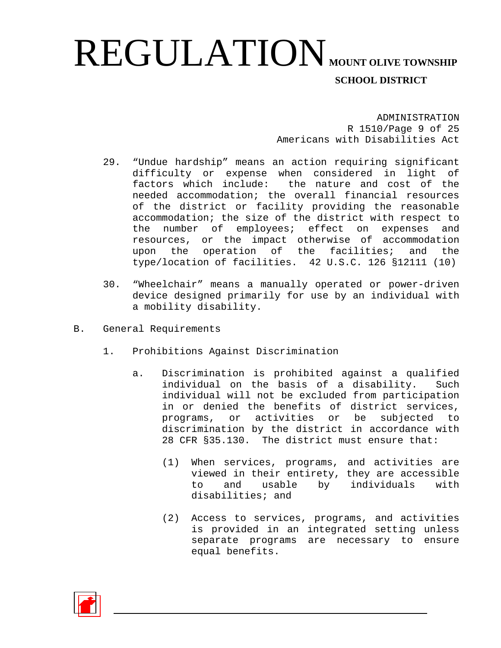ADMINISTRATION R 1510/Page 9 of 25 Americans with Disabilities Act

- 29. "Undue hardship" means an action requiring significant difficulty or expense when considered in light of factors which include: the nature and cost of the needed accommodation; the overall financial resources of the district or facility providing the reasonable accommodation; the size of the district with respect to<br>the number of emplovees; effect on expenses and the number of employees; effect on expenses resources, or the impact otherwise of accommodation<br>upon the operation of the facilities; and the upon the operation of the facilities; type/location of facilities. 42 U.S.C. 126 §12111 (10)
- 30. "Wheelchair" means a manually operated or power-driven device designed primarily for use by an individual with a mobility disability.
- B. General Requirements
	- 1. Prohibitions Against Discrimination
		- a. Discrimination is prohibited against a qualified individual on the basis of a disability. Such individual will not be excluded from participation in or denied the benefits of district services,<br>programs, or activities or be subjected to or activities or be subjected to discrimination by the district in accordance with 28 CFR §35.130. The district must ensure that:
			- (1) When services, programs, and activities are viewed in their entirety, they are accessible<br>to and usable by individuals with usable by individuals with disabilities; and
			- (2) Access to services, programs, and activities is provided in an integrated setting unless separate programs are necessary to ensure equal benefits.

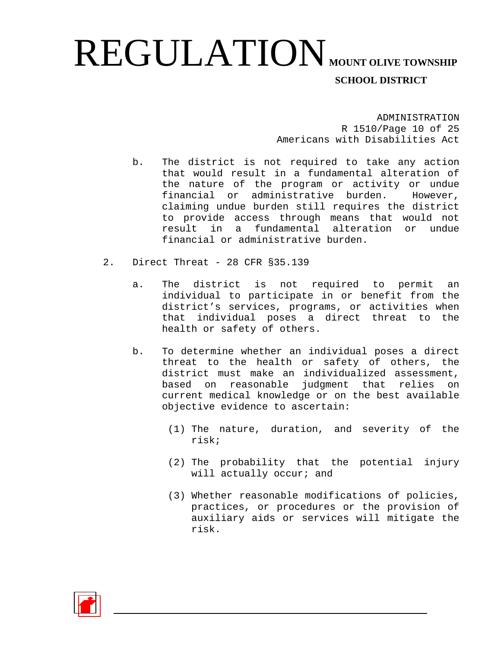ADMINISTRATION R 1510/Page 10 of 25 Americans with Disabilities Act

- b. The district is not required to take any action that would result in a fundamental alteration of the nature of the program or activity or undue financial or administrative burden. However, claiming undue burden still requires the district to provide access through means that would not result in a fundamental alteration or undue financial or administrative burden.
- 2. Direct Threat 28 CFR §35.139
	- a. The district is not required to permit an individual to participate in or benefit from the district's services, programs, or activities when that individual poses a direct threat to the health or safety of others.
	- b. To determine whether an individual poses a direct threat to the health or safety of others, the district must make an individualized assessment, based on reasonable judgment that relies on current medical knowledge or on the best available objective evidence to ascertain:
		- (1) The nature, duration, and severity of the risk;
		- (2) The probability that the potential injury will actually occur; and
		- (3) Whether reasonable modifications of policies, practices, or procedures or the provision of auxiliary aids or services will mitigate the risk.

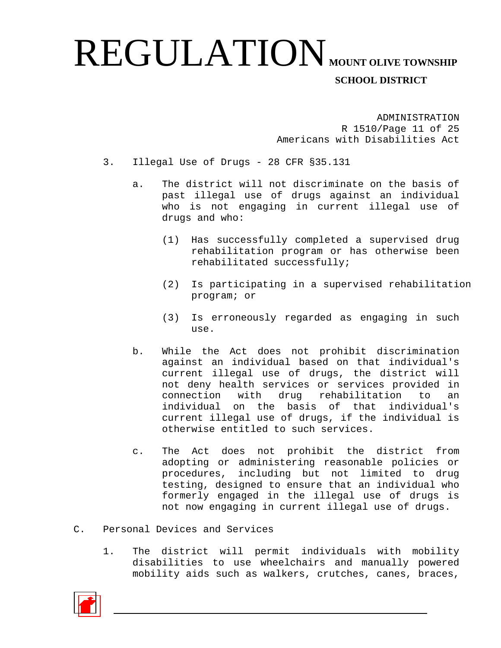ADMINISTRATION R 1510/Page 11 of 25 Americans with Disabilities Act

- 3. Illegal Use of Drugs 28 CFR §35.131
	- a. The district will not discriminate on the basis of past illegal use of drugs against an individual who is not engaging in current illegal use of drugs and who:
		- (1) Has successfully completed a supervised drug rehabilitation program or has otherwise been rehabilitated successfully;
		- (2) Is participating in a supervised rehabilitation program; or
		- (3) Is erroneously regarded as engaging in such use.
	- b. While the Act does not prohibit discrimination against an individual based on that individual's current illegal use of drugs, the district will not deny health services or services provided in<br>connection with drug rehabilitation to an connection with drug rehabilitation individual on the basis of that individual's current illegal use of drugs, if the individual is otherwise entitled to such services.
	- c. The Act does not prohibit the district from adopting or administering reasonable policies or procedures, including but not limited to drug testing, designed to ensure that an individual who formerly engaged in the illegal use of drugs is not now engaging in current illegal use of drugs.
- C. Personal Devices and Services
	- 1. The district will permit individuals with mobility disabilities to use wheelchairs and manually powered mobility aids such as walkers, crutches, canes, braces,

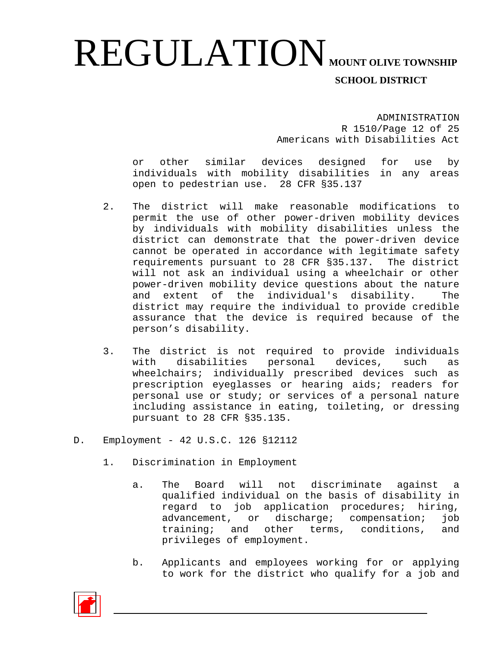ADMINISTRATION R 1510/Page 12 of 25 Americans with Disabilities Act

or other similar devices designed for use by individuals with mobility disabilities in any areas open to pedestrian use. 28 CFR §35.137

- 2. The district will make reasonable modifications to permit the use of other power-driven mobility devices by individuals with mobility disabilities unless the district can demonstrate that the power-driven device cannot be operated in accordance with legitimate safety requirements pursuant to 28 CFR §35.137. The district will not ask an individual using a wheelchair or other power-driven mobility device questions about the nature and extent of the individual's disability. district may require the individual to provide credible assurance that the device is required because of the person's disability.
- 3. The district is not required to provide individuals with disabilities personal devices, such as wheelchairs; individually prescribed devices such as prescription eyeglasses or hearing aids; readers for personal use or study; or services of a personal nature including assistance in eating, toileting, or dressing pursuant to 28 CFR §35.135.
- D. Employment 42 U.S.C. 126 §12112
	- 1. Discrimination in Employment
		- a. The Board will not discriminate against a qualified individual on the basis of disability in regard to job application procedures; hiring,<br>advancement, or discharge; compensation; job advancement, or discharge; compensation; training; and other terms, conditions, and privileges of employment.
		- b. Applicants and employees working for or applying to work for the district who qualify for a job and

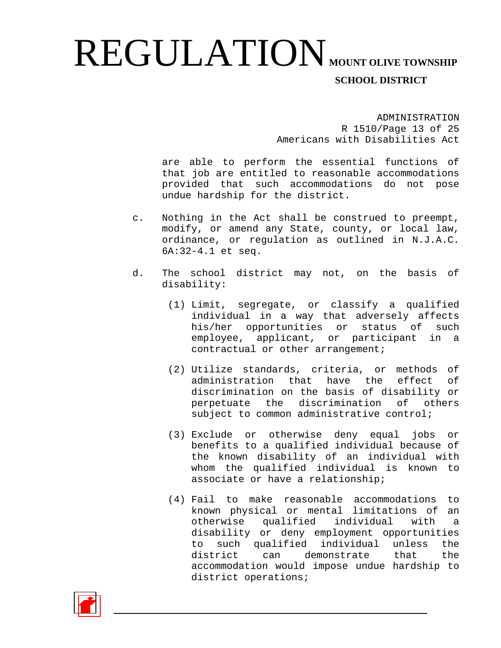ADMINISTRATION R 1510/Page 13 of 25 Americans with Disabilities Act

are able to perform the essential functions of that job are entitled to reasonable accommodations provided that such accommodations do not pose undue hardship for the district.

- c. Nothing in the Act shall be construed to preempt, modify, or amend any State, county, or local law, ordinance, or regulation as outlined in N.J.A.C. 6A:32-4.1 et seq.
- d. The school district may not, on the basis of disability:
	- (1) Limit, segregate, or classify a qualified individual in a way that adversely affects his/her opportunities or status of such employee, applicant, or participant in a contractual or other arrangement;
	- (2) Utilize standards, criteria, or methods of administration that have the effect of discrimination on the basis of disability or perpetuate the discrimination of others subject to common administrative control;
	- (3) Exclude or otherwise deny equal jobs or benefits to a qualified individual because of the known disability of an individual with whom the qualified individual is known to associate or have a relationship;
	- (4) Fail to make reasonable accommodations to known physical or mental limitations of an<br>otherwise qualified individual with a otherwise qualified individual with a disability or deny employment opportunities to such qualified individual unless the district can demonstrate that the accommodation would impose undue hardship to district operations;

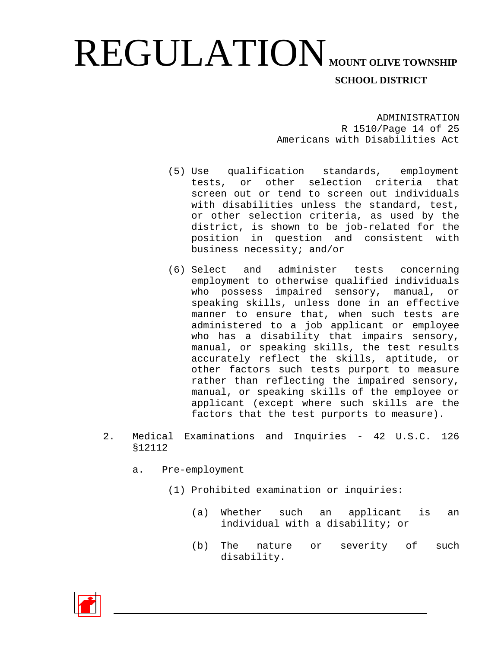ADMINISTRATION R 1510/Page 14 of 25 Americans with Disabilities Act

- (5) Use qualification standards, employment tests, or other selection criteria that screen out or tend to screen out individuals with disabilities unless the standard, test, or other selection criteria, as used by the district, is shown to be job-related for the position in question and consistent with business necessity; and/or
- (6) Select and administer tests concerning employment to otherwise qualified individuals who possess impaired sensory, manual, or speaking skills, unless done in an effective manner to ensure that, when such tests are administered to a job applicant or employee who has a disability that impairs sensory, manual, or speaking skills, the test results accurately reflect the skills, aptitude, or other factors such tests purport to measure rather than reflecting the impaired sensory, manual, or speaking skills of the employee or applicant (except where such skills are the factors that the test purports to measure).
- 2. Medical Examinations and Inquiries 42 U.S.C. 126 §12112
	- a. Pre-employment
		- (1) Prohibited examination or inquiries:
			- (a) Whether such an applicant is an individual with a disability; or
			- (b) The nature or severity of such disability.

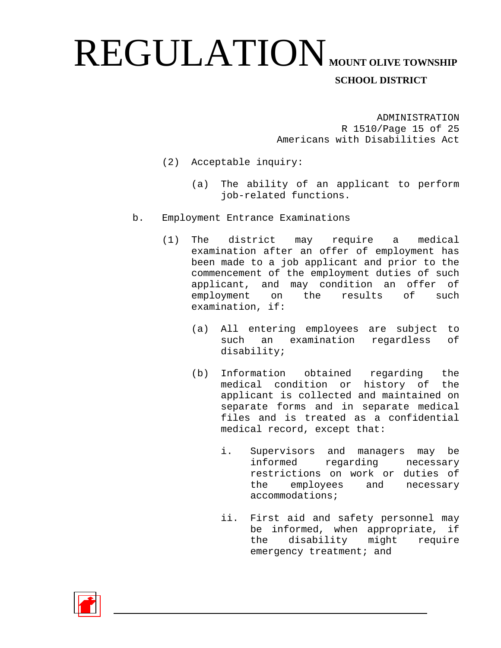ADMINISTRATION R 1510/Page 15 of 25 Americans with Disabilities Act

- (2) Acceptable inquiry:
	- (a) The ability of an applicant to perform job-related functions.
- b. Employment Entrance Examinations
	- (1) The district may require a medical examination after an offer of employment has been made to a job applicant and prior to the commencement of the employment duties of such applicant, and may condition an offer of employment on the results of such examination, if:
		- (a) All entering employees are subject to such an examination regardless of disability;
		- (b) Information obtained regarding the medical condition or history of the applicant is collected and maintained on separate forms and in separate medical files and is treated as a confidential medical record, except that:
			- i. Supervisors and managers may be informed regarding necessary restrictions on work or duties of<br>the employees and necessary employees and accommodations;
			- ii. First aid and safety personnel may be informed, when appropriate, if<br>the disability might require disability might emergency treatment; and

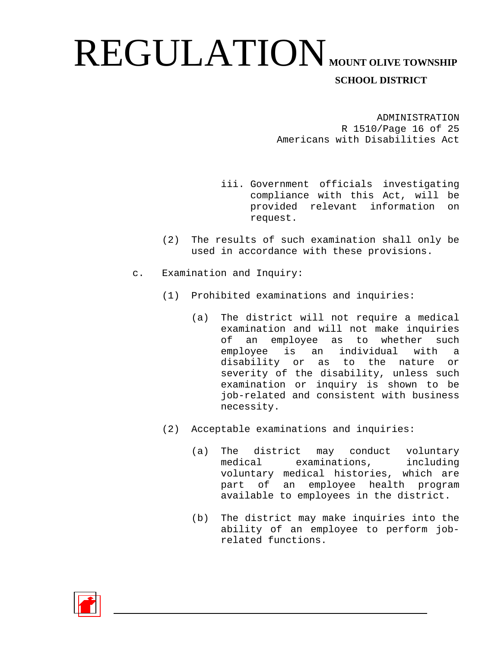ADMINISTRATION R 1510/Page 16 of 25 Americans with Disabilities Act

- iii. Government officials investigating compliance with this Act, will be provided relevant information on request.
- (2) The results of such examination shall only be used in accordance with these provisions.
- c. Examination and Inquiry:
	- (1) Prohibited examinations and inquiries:
		- (a) The district will not require a medical examination and will not make inquiries of an employee as to whether such employee is an individual with a disability or as to the nature or severity of the disability, unless such examination or inquiry is shown to be job-related and consistent with business necessity.
	- (2) Acceptable examinations and inquiries:
		- (a) The district may conduct voluntary<br>medical examinations, including examinations, including voluntary medical histories, which are part of an employee health program available to employees in the district.
		- (b) The district may make inquiries into the ability of an employee to perform jobrelated functions.

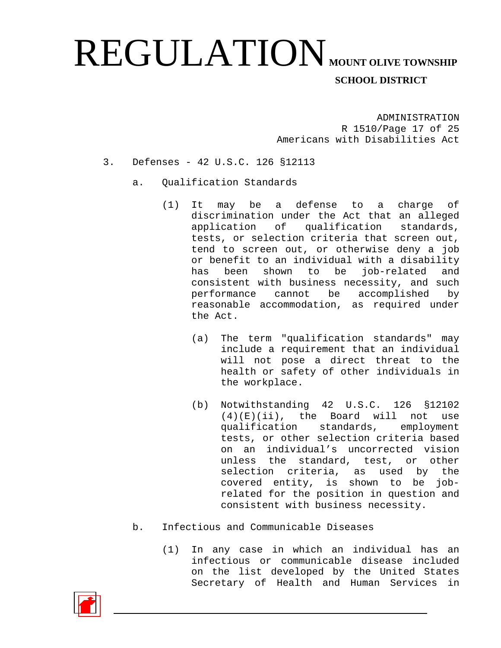ADMINISTRATION R 1510/Page 17 of 25 Americans with Disabilities Act

- 3. Defenses 42 U.S.C. 126 §12113
	- a. Qualification Standards
		- (1) It may be a defense to a charge of discrimination under the Act that an alleged application of qualification standards, tests, or selection criteria that screen out, tend to screen out, or otherwise deny a job or benefit to an individual with a disability<br>has been shown to be job-related and has been shown to be job-related and consistent with business necessity, and such performance cannot be accomplished by reasonable accommodation, as required under the Act.
			- (a) The term "qualification standards" may include a requirement that an individual will not pose a direct threat to the health or safety of other individuals in the workplace.
			- (b) Notwithstanding 42 U.S.C. 126 §12102  $(4)(E)(ii)$ , the Board will not use<br>qualification standards, employment qualification standards, tests, or other selection criteria based on an individual's uncorrected vision unless the standard, test, or other selection criteria, as used by the covered entity, is shown to be jobrelated for the position in question and consistent with business necessity.
	- b. Infectious and Communicable Diseases
		- (1) In any case in which an individual has an infectious or communicable disease included on the list developed by the United States Secretary of Health and Human Services in

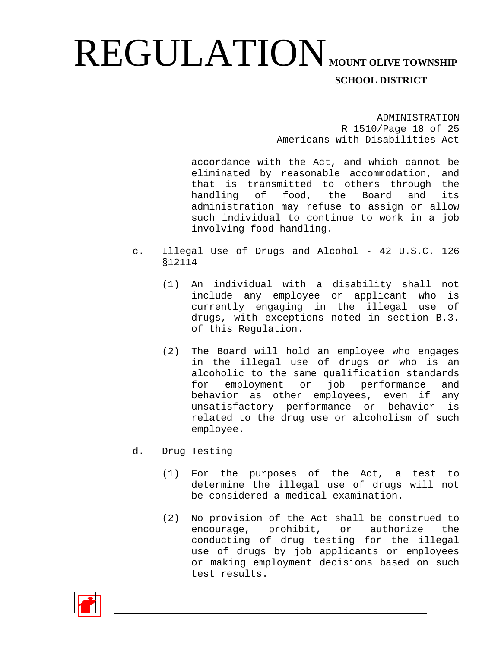ADMINISTRATION R 1510/Page 18 of 25 Americans with Disabilities Act

accordance with the Act, and which cannot be eliminated by reasonable accommodation, and that is transmitted to others through the<br>handling of food, the Board and its handling of food, the Board and its administration may refuse to assign or allow such individual to continue to work in a job involving food handling.

- c. Illegal Use of Drugs and Alcohol 42 U.S.C. 126 §12114
	- (1) An individual with a disability shall not include any employee or applicant who currently engaging in the illegal use of drugs, with exceptions noted in section B.3. of this Regulation.
	- (2) The Board will hold an employee who engages in the illegal use of drugs or who is an alcoholic to the same qualification standards for employment or job performance and behavior as other employees, even if any unsatisfactory performance or behavior is related to the drug use or alcoholism of such employee.
- d. Drug Testing
	- (1) For the purposes of the Act, a test to determine the illegal use of drugs will not be considered a medical examination.
	- (2) No provision of the Act shall be construed to encourage, prohibit, or authorize the conducting of drug testing for the illegal use of drugs by job applicants or employees or making employment decisions based on such test results.

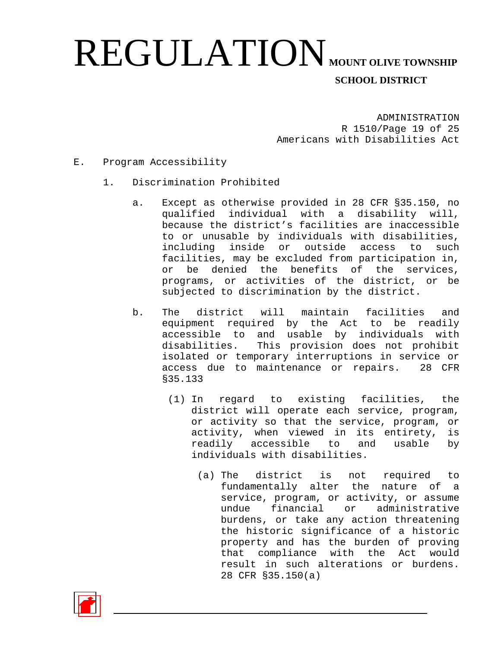ADMINISTRATION R 1510/Page 19 of 25 Americans with Disabilities Act

- E. Program Accessibility
	- 1. Discrimination Prohibited
		- a. Except as otherwise provided in 28 CFR §35.150, no qualified individual with a disability will, because the district's facilities are inaccessible to or unusable by individuals with disabilities, including inside or outside access to such facilities, may be excluded from participation in, or be denied the benefits of the services, programs, or activities of the district, or be subjected to discrimination by the district.
		- b. The district will maintain facilities and equipment required by the Act to be readily accessible to and usable by individuals with<br>disabilities. This provision does not prohibit This provision does not prohibit isolated or temporary interruptions in service or access due to maintenance or repairs. 28 CFR §35.133
			- (1) In regard to existing facilities, the district will operate each service, program, or activity so that the service, program, or activity, when viewed in its entirety, is readily accessible to and usable by individuals with disabilities.
				- (a) The district is not required to fundamentally alter the nature of a service, program, or activity, or assume<br>undue financial or administrative undue financial or burdens, or take any action threatening the historic significance of a historic property and has the burden of proving that compliance with the Act would result in such alterations or burdens. 28 CFR §35.150(a)

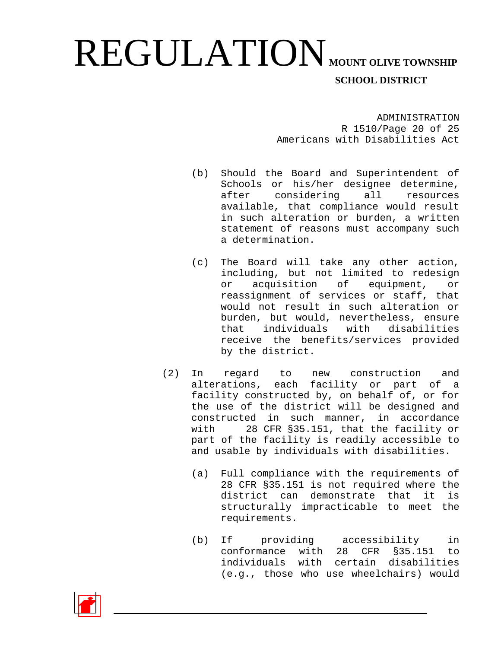ADMINISTRATION R 1510/Page 20 of 25 Americans with Disabilities Act

- (b) Should the Board and Superintendent of Schools or his/her designee determine, after considering all resources available, that compliance would result in such alteration or burden, a written statement of reasons must accompany such a determination.
- (c) The Board will take any other action, including, but not limited to redesign or acquisition of equipment, or reassignment of services or staff, that would not result in such alteration or burden, but would, nevertheless, ensure<br>that individuals with disabilities individuals receive the benefits/services provided by the district.
- (2) In regard to new construction and alterations, each facility or part of a facility constructed by, on behalf of, or for the use of the district will be designed and constructed in such manner, in accordance<br>with 28 CFR \$35.151, that the facility or 28 CFR §35.151, that the facility or part of the facility is readily accessible to and usable by individuals with disabilities.
	- (a) Full compliance with the requirements of 28 CFR §35.151 is not required where the<br>district can demonstrate that it is district can demonstrate that it structurally impracticable to meet the requirements.
	- (b) If providing accessibility in conformance with 28 CFR §35.151 to individuals with certain disabilities (e.g., those who use wheelchairs) would

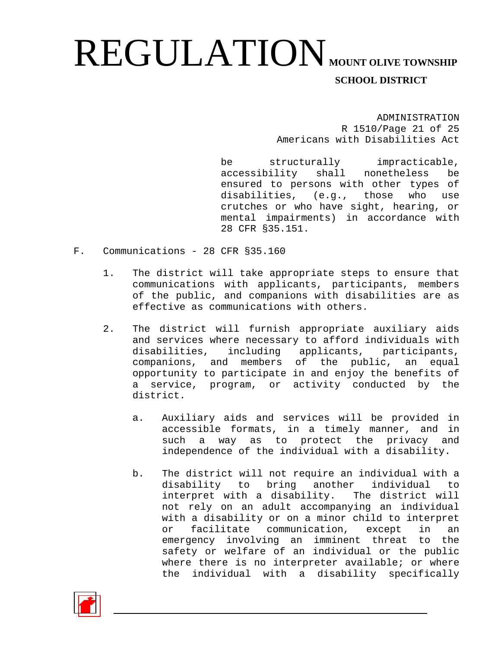ADMINISTRATION R 1510/Page 21 of 25 Americans with Disabilities Act

be structurally impracticable, accessibility shall nonetheless be ensured to persons with other types of disabilities, (e.g., those who use crutches or who have sight, hearing, or mental impairments) in accordance with 28 CFR §35.151.

- F. Communications 28 CFR §35.160
	- 1. The district will take appropriate steps to ensure that communications with applicants, participants, members of the public, and companions with disabilities are as effective as communications with others.
	- 2. The district will furnish appropriate auxiliary aids and services where necessary to afford individuals with disabilities, including applicants, participants, companions, and members of the public, an equal opportunity to participate in and enjoy the benefits of a service, program, or activity conducted by the district.
		- a. Auxiliary aids and services will be provided in accessible formats, in a timely manner, and in such a way as to protect the privacy and independence of the individual with a disability.
		- b. The district will not require an individual with a disability to bring another individual to interpret with a disability. The district will not rely on an adult accompanying an individual with a disability or on a minor child to interpret or facilitate communication, except in an emergency involving an imminent threat to the safety or welfare of an individual or the public where there is no interpreter available; or where the individual with a disability specifically

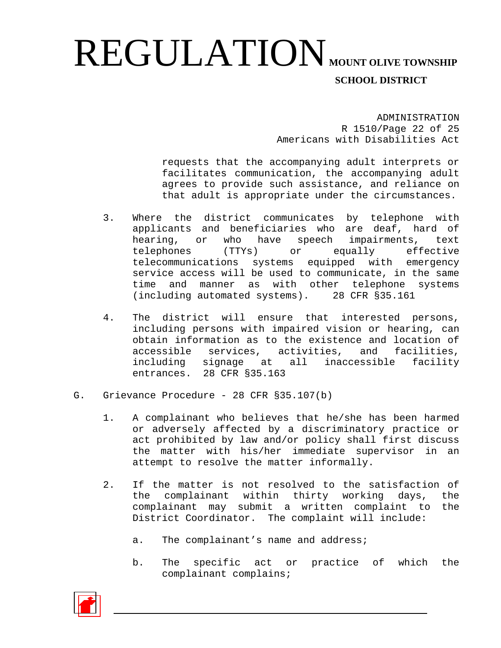ADMINISTRATION R 1510/Page 22 of 25 Americans with Disabilities Act

requests that the accompanying adult interprets or facilitates communication, the accompanying adult agrees to provide such assistance, and reliance on that adult is appropriate under the circumstances.

- 3. Where the district communicates by telephone with applicants and beneficiaries who are deaf, hard of hearing, or who have speech impairments, text<br>telephones (TTYs) or equally effective telephones telecommunications systems equipped with emergency service access will be used to communicate, in the same<br>time and manner as with other telephone systems time and manner as with other telephone (including automated systems). 28 CFR §35.161
- 4. The district will ensure that interested persons, including persons with impaired vision or hearing, can obtain information as to the existence and location of accessible services, activities, and facilities, accessible services, activities, including signage at all inaccessible facility entrances. 28 CFR §35.163
- G. Grievance Procedure 28 CFR §35.107(b)
	- 1. A complainant who believes that he/she has been harmed or adversely affected by a discriminatory practice or act prohibited by law and/or policy shall first discuss the matter with his/her immediate supervisor in an attempt to resolve the matter informally.
	- 2. If the matter is not resolved to the satisfaction of<br>the complainant within thirty working days, the complainant within thirty working days, the<br>ainant may submit a written complaint to the complainant may submit a written complaint to District Coordinator. The complaint will include:
		- a. The complainant's name and address;
		- b. The specific act or practice of which the complainant complains;

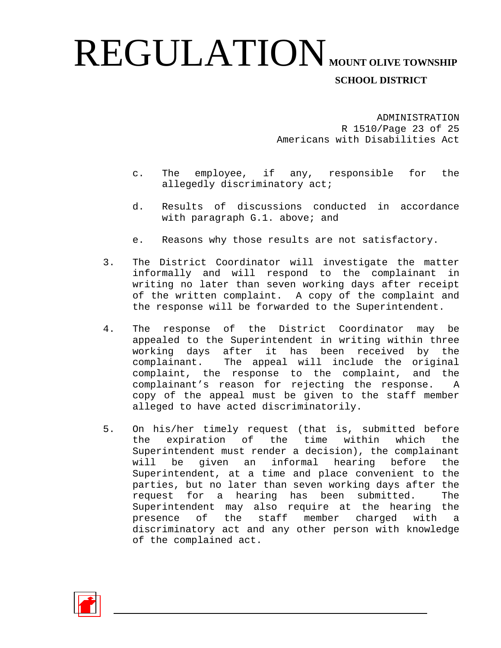ADMINISTRATION R 1510/Page 23 of 25 Americans with Disabilities Act

- c. The employee, if any, responsible for the allegedly discriminatory act;
- d. Results of discussions conducted in accordance with paragraph G.1. above; and
- e. Reasons why those results are not satisfactory.
- 3. The District Coordinator will investigate the matter informally and will respond to the complainant in writing no later than seven working days after receipt of the written complaint. A copy of the complaint and the response will be forwarded to the Superintendent.
- 4. The response of the District Coordinator may be appealed to the Superintendent in writing within three working days after it has been received by the complainant. The appeal will include the original complaint, the response to the complaint, and the complainant's reason for rejecting the response. A copy of the appeal must be given to the staff member alleged to have acted discriminatorily.
- 5. On his/her timely request (that is, submitted before<br>the expiration of the time within which the the expiration of the time within which Superintendent must render a decision), the complainant will be given an informal hearing before the Superintendent, at a time and place convenient to the parties, but no later than seven working days after the<br>request for a hearing has been submitted. The request for a hearing has been submitted. Superintendent may also require at the hearing the presence of the staff member charged with a discriminatory act and any other person with knowledge of the complained act.

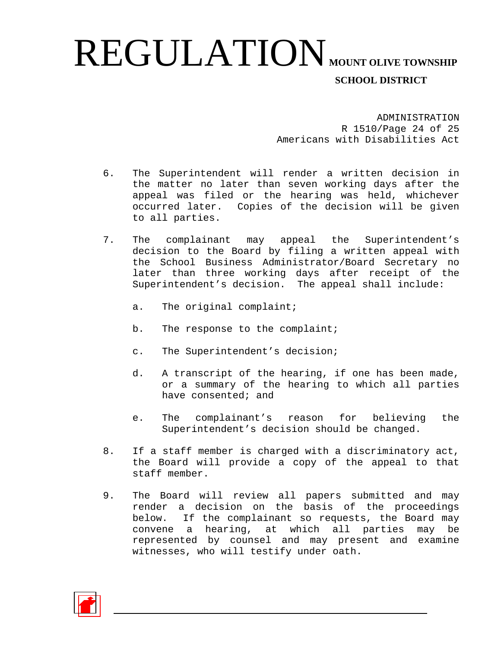ADMINISTRATION R 1510/Page 24 of 25 Americans with Disabilities Act

- 6. The Superintendent will render a written decision in the matter no later than seven working days after the appeal was filed or the hearing was held, whichever occurred later. Copies of the decision will be given to all parties.
- 7. The complainant may appeal the Superintendent's decision to the Board by filing a written appeal with the School Business Administrator/Board Secretary no later than three working days after receipt of the Superintendent's decision. The appeal shall include:
	- a. The original complaint;
	- b. The response to the complaint;
	- c. The Superintendent's decision;
	- d. A transcript of the hearing, if one has been made, or a summary of the hearing to which all parties have consented; and
	- e. The complainant's reason for believing the Superintendent's decision should be changed.
- 8. If a staff member is charged with a discriminatory act, the Board will provide a copy of the appeal to that staff member.
- 9. The Board will review all papers submitted and may render a decision on the basis of the proceedings below. If the complainant so requests, the Board may convene a hearing, at which all parties may be represented by counsel and may present and examine witnesses, who will testify under oath.